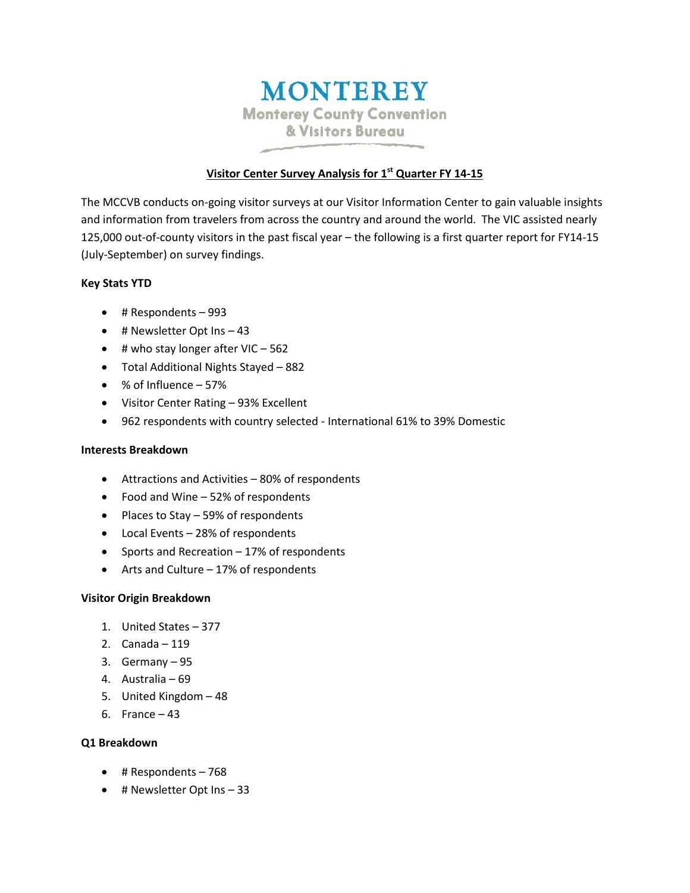# **MONTEREY Monterey County Convention** & Visitors Bureau

# **Visitor Center Survey Analysis for 1 st Quarter FY 14-15**

The MCCVB conducts on-going visitor surveys at our Visitor Information Center to gain valuable insights and information from travelers from across the country and around the world. The VIC assisted nearly 125,000 out-of-county visitors in the past fiscal year – the following is a first quarter report for FY14-15 (July-September) on survey findings.

# **Key Stats YTD**

- # Respondents 993
- $\bullet$  # Newsletter Opt Ins  $-43$
- $\bullet$  # who stay longer after VIC 562
- Total Additional Nights Stayed 882
- % of Influence 57%
- Visitor Center Rating 93% Excellent
- 962 respondents with country selected International 61% to 39% Domestic

#### **Interests Breakdown**

- Attractions and Activities 80% of respondents
- Food and Wine 52% of respondents
- $\bullet$  Places to Stay 59% of respondents
- Local Events 28% of respondents
- Sports and Recreation 17% of respondents
- Arts and Culture 17% of respondents

# **Visitor Origin Breakdown**

- 1. United States 377
- 2. Canada 119
- 3. Germany 95
- 4. Australia 69
- 5. United Kingdom 48
- 6. France 43

# **Q1 Breakdown**

- # Respondents 768
- $\bullet$  # Newsletter Opt Ins  $-33$